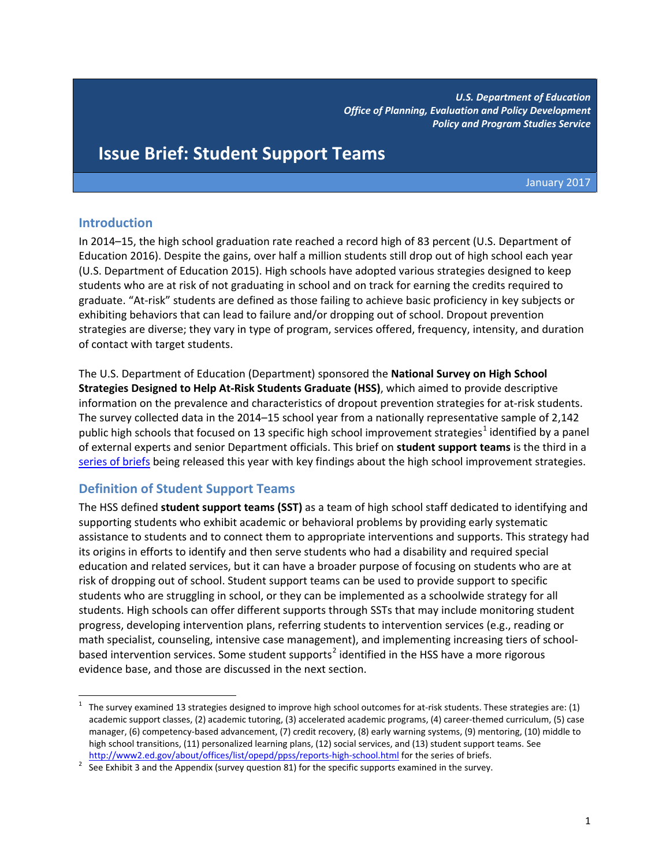*U.S. Department of Education Office of Planning, Evaluation and Policy Development Policy and Program Studies Service*

# **Issue Brief: Student Support Teams**

January 2017

## **Introduction**

In 2014–15, the high school graduation rate reached a record high of 83 percent (U.S. Department of Education 2016). Despite the gains, over half a million students still drop out of high school each year (U.S. Department of Education 2015). High schools have adopted various strategies designed to keep students who are at risk of not graduating in school and on track for earning the credits required to graduate. "At-risk" students are defined as those failing to achieve basic proficiency in key subjects or exhibiting behaviors that can lead to failure and/or dropping out of school. Dropout prevention strategies are diverse; they vary in type of program, services offered, frequency, intensity, and duration of contact with target students.

The U.S. Department of Education (Department) sponsored the **National Survey on High School Strategies Designed to Help At-Risk Students Graduate (HSS)**, which aimed to provide descriptive information on the prevalence and characteristics of dropout prevention strategies for at-risk students. The survey collected data in the 2014–15 school year from a nationally representative sample of 2,142 public high schools that focused on [1](#page-0-0)3 specific high school improvement strategies<sup>1</sup> identified by a panel of external experts and senior Department officials. This brief on **student support teams** is the third in a [series of briefs](http://www2.ed.gov/about/offices/list/opepd/ppss/reports-high-school.html) being released this year with key findings about the high school improvement strategies.

## **Definition of Student Support Teams**

The HSS defined **student support teams (SST)** as a team of high school staff dedicated to identifying and supporting students who exhibit academic or behavioral problems by providing early systematic assistance to students and to connect them to appropriate interventions and supports. This strategy had its origins in efforts to identify and then serve students who had a disability and required special education and related services, but it can have a broader purpose of focusing on students who are at risk of dropping out of school. Student support teams can be used to provide support to specific students who are struggling in school, or they can be implemented as a schoolwide strategy for all students. High schools can offer different supports through SSTs that may include monitoring student progress, developing intervention plans, referring students to intervention services (e.g., reading or math specialist, counseling, intensive case management), and implementing increasing tiers of school-based intervention services. Some student supports<sup>[2](#page-0-1)</sup> identified in the HSS have a more rigorous evidence base, and those are discussed in the next section.

<span id="page-0-0"></span> $\mathbf 1$ 1 The survey examined 13 strategies designed to improve high school outcomes for at-risk students. These strategies are: (1) academic support classes, (2) academic tutoring, (3) accelerated academic programs, (4) career-themed curriculum, (5) case manager, (6) competency-based advancement, (7) credit recovery, (8) early warning systems, (9) mentoring, (10) middle to high school transitions, (11) personalized learning plans, (12) social services, and (13) student support teams. See

<span id="page-0-1"></span><http://www2.ed.gov/about/offices/list/opepd/ppss/reports-high-school.html> for the series of briefs.<br><sup>2</sup> See Exhibit 3 and the Appendix (survey question 81) for the specific supports examined in the survey.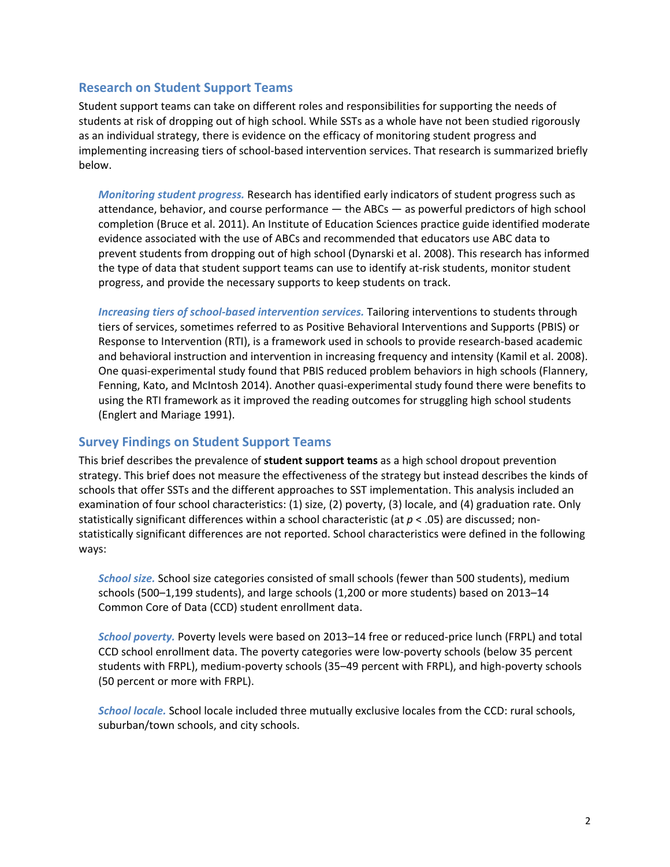### **Research on Student Support Teams**

Student support teams can take on different roles and responsibilities for supporting the needs of students at risk of dropping out of high school. While SSTs as a whole have not been studied rigorously as an individual strategy, there is evidence on the efficacy of monitoring student progress and implementing increasing tiers of school-based intervention services. That research is summarized briefly below.

*Monitoring student progress.* Research has identified early indicators of student progress such as attendance, behavior, and course performance — the ABCs — as powerful predictors of high school completion (Bruce et al. 2011). An Institute of Education Sciences practice guide identified moderate evidence associated with the use of ABCs and recommended that educators use ABC data to prevent students from dropping out of high school (Dynarski et al. 2008). This research has informed the type of data that student support teams can use to identify at-risk students, monitor student progress, and provide the necessary supports to keep students on track.

*Increasing tiers of school-based intervention services.* Tailoring interventions to students through tiers of services, sometimes referred to as Positive Behavioral Interventions and Supports (PBIS) or Response to Intervention (RTI), is a framework used in schools to provide research-based academic and behavioral instruction and intervention in increasing frequency and intensity (Kamil et al. 2008). One quasi-experimental study found that PBIS reduced problem behaviors in high schools (Flannery, Fenning, Kato, and McIntosh 2014). Another quasi-experimental study found there were benefits to using the RTI framework as it improved the reading outcomes for struggling high school students (Englert and Mariage 1991).

## **Survey Findings on Student Support Teams**

This brief describes the prevalence of **student support teams** as a high school dropout prevention strategy. This brief does not measure the effectiveness of the strategy but instead describes the kinds of schools that offer SSTs and the different approaches to SST implementation. This analysis included an examination of four school characteristics: (1) size, (2) poverty, (3) locale, and (4) graduation rate. Only statistically significant differences within a school characteristic (at *p* < .05) are discussed; nonstatistically significant differences are not reported. School characteristics were defined in the following ways:

*School size.* School size categories consisted of small schools (fewer than 500 students), medium schools (500–1,199 students), and large schools (1,200 or more students) based on 2013–14 Common Core of Data (CCD) student enrollment data.

*School poverty.* Poverty levels were based on 2013–14 free or reduced-price lunch (FRPL) and total CCD school enrollment data. The poverty categories were low-poverty schools (below 35 percent students with FRPL), medium-poverty schools (35–49 percent with FRPL), and high-poverty schools (50 percent or more with FRPL).

*School locale.* School locale included three mutually exclusive locales from the CCD: rural schools, suburban/town schools, and city schools.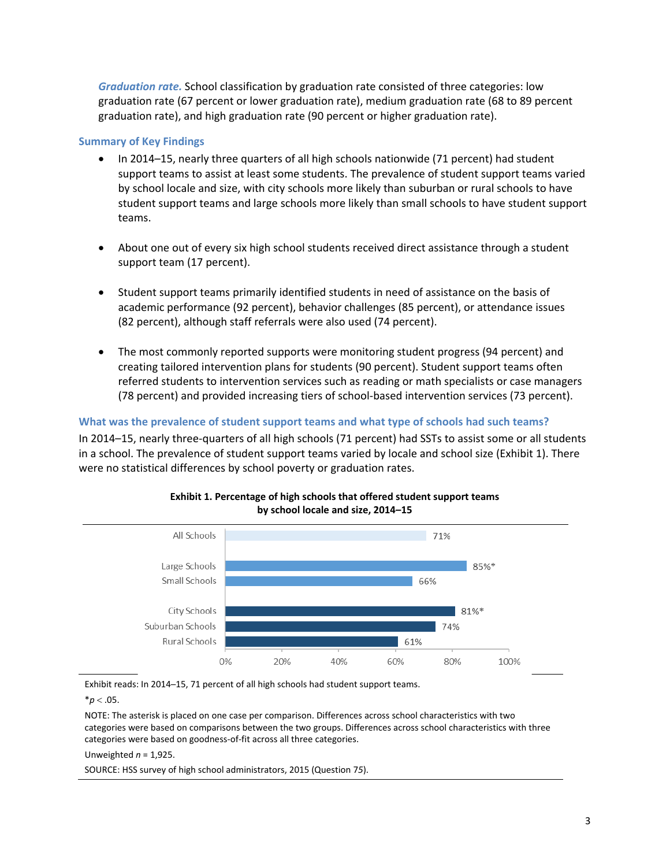*Graduation rate.* School classification by graduation rate consisted of three categories: low graduation rate (67 percent or lower graduation rate), medium graduation rate (68 to 89 percent graduation rate), and high graduation rate (90 percent or higher graduation rate).

#### **Summary of Key Findings**

- In 2014–15, nearly three quarters of all high schools nationwide (71 percent) had student support teams to assist at least some students. The prevalence of student support teams varied by school locale and size, with city schools more likely than suburban or rural schools to have student support teams and large schools more likely than small schools to have student support teams.
- About one out of every six high school students received direct assistance through a student support team (17 percent).
- Student support teams primarily identified students in need of assistance on the basis of academic performance (92 percent), behavior challenges (85 percent), or attendance issues (82 percent), although staff referrals were also used (74 percent).
- The most commonly reported supports were monitoring student progress (94 percent) and creating tailored intervention plans for students (90 percent). Student support teams often referred students to intervention services such as reading or math specialists or case managers (78 percent) and provided increasing tiers of school-based intervention services (73 percent).

**What was the prevalence of student support teams and what type of schools had such teams?**  In 2014–15, nearly three-quarters of all high schools (71 percent) had SSTs to assist some or all students in a school. The prevalence of student support teams varied by locale and school size (Exhibit 1). There were no statistical differences by school poverty or graduation rates.



### **Exhibit 1. Percentage of high schools that offered student support teams by school locale and size, 2014–15**

Exhibit reads: In 2014─15, 71 percent of all high schools had student support teams.

 $*$ *p* < .05.

NOTE: The asterisk is placed on one case per comparison. Differences across school characteristics with two categories were based on comparisons between the two groups. Differences across school characteristics with three categories were based on goodness-of-fit across all three categories.

Unweighted *n* = 1,925.

SOURCE: HSS survey of high school administrators, 2015 (Question 7*5*).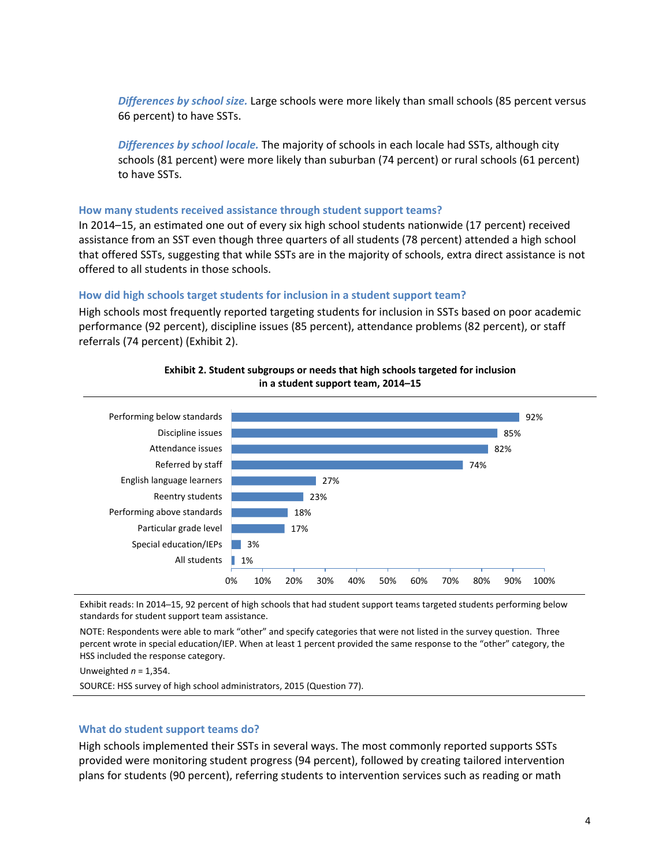*Differences by school size.* Large schools were more likely than small schools (85 percent versus 66 percent) to have SSTs.

*Differences by school locale.* The majority of schools in each locale had SSTs, although city schools (81 percent) were more likely than suburban (74 percent) or rural schools (61 percent) to have SSTs.

#### **How many students received assistance through student support teams?**

In 2014–15, an estimated one out of every six high school students nationwide (17 percent) received assistance from an SST even though three quarters of all students (78 percent) attended a high school that offered SSTs, suggesting that while SSTs are in the majority of schools, extra direct assistance is not offered to all students in those schools.

#### **How did high schools target students for inclusion in a student support team?**

High schools most frequently reported targeting students for inclusion in SSTs based on poor academic performance (92 percent), discipline issues (85 percent), attendance problems (82 percent), or staff referrals (74 percent) (Exhibit 2).



**Exhibit 2. Student subgroups or needs that high schools targeted for inclusion in a student support team, 2014–15**

Exhibit reads: In 2014-15, 92 percent of high schools that had student support teams targeted students performing below standards for student support team assistance.

NOTE: Respondents were able to mark "other" and specify categories that were not listed in the survey question. Three percent wrote in special education/IEP. When at least 1 percent provided the same response to the "other" category, the HSS included the response category.

Unweighted *n* = 1,354.

SOURCE: HSS survey of high school administrators, 2015 (Question 77).

#### **What do student support teams do?**

High schools implemented their SSTs in several ways. The most commonly reported supports SSTs provided were monitoring student progress (94 percent), followed by creating tailored intervention plans for students (90 percent), referring students to intervention services such as reading or math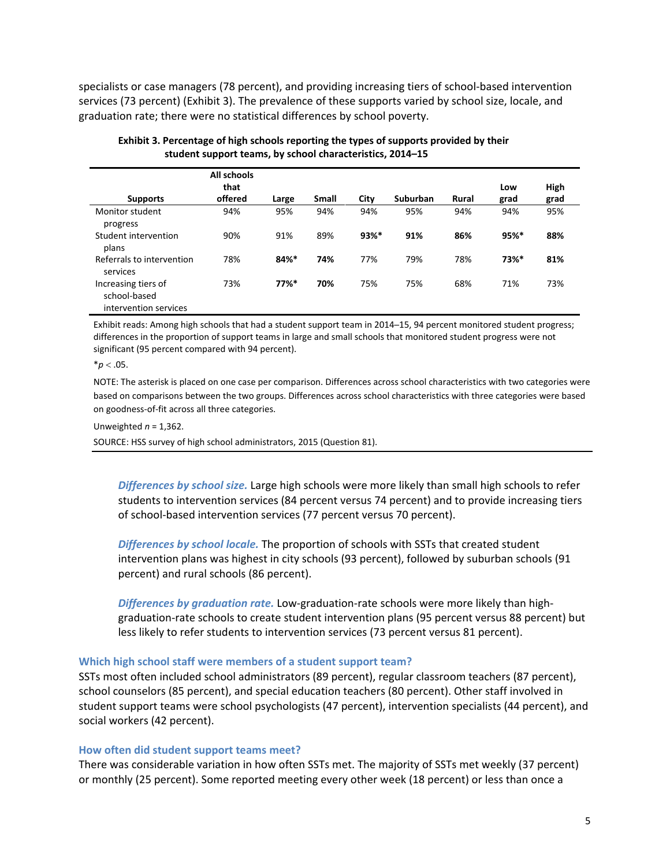specialists or case managers (78 percent), and providing increasing tiers of school-based intervention services (73 percent) (Exhibit 3). The prevalence of these supports varied by school size, locale, and graduation rate; there were no statistical differences by school poverty.

| <b>Supports</b>                                              | All schools<br>that<br>offered | Large   | Small | City | <b>Suburban</b> | Rural | Low<br>grad | High<br>grad |
|--------------------------------------------------------------|--------------------------------|---------|-------|------|-----------------|-------|-------------|--------------|
| Monitor student<br>progress                                  | 94%                            | 95%     | 94%   | 94%  | 95%             | 94%   | 94%         | 95%          |
| Student intervention<br>plans                                | 90%                            | 91%     | 89%   | 93%* | 91%             | 86%   | 95%*        | 88%          |
| Referrals to intervention<br>services                        | 78%                            | 84%*    | 74%   | 77%  | 79%             | 78%   | 73%*        | 81%          |
| Increasing tiers of<br>school-based<br>intervention services | 73%                            | $77%$ * | 70%   | 75%  | 75%             | 68%   | 71%         | 73%          |

| Exhibit 3. Percentage of high schools reporting the types of supports provided by their |
|-----------------------------------------------------------------------------------------|
| student support teams, by school characteristics, 2014–15                               |

Exhibit reads: Among high schools that had a student support team in 2014─15, 94 percent monitored student progress; differences in the proportion of support teams in large and small schools that monitored student progress were not significant (95 percent compared with 94 percent).

 $*$ *p* < .05.

NOTE: The asterisk is placed on one case per comparison. Differences across school characteristics with two categories were based on comparisons between the two groups. Differences across school characteristics with three categories were based on goodness-of-fit across all three categories.

Unweighted *n* = 1,362.

SOURCE: HSS survey of high school administrators, 2015 (Question 81).

*Differences by school size.* Large high schools were more likely than small high schools to refer students to intervention services (84 percent versus 74 percent) and to provide increasing tiers of school-based intervention services (77 percent versus 70 percent).

*Differences by school locale.* The proportion of schools with SSTs that created student intervention plans was highest in city schools (93 percent), followed by suburban schools (91 percent) and rural schools (86 percent).

*Differences by graduation rate.* Low-graduation-rate schools were more likely than highgraduation-rate schools to create student intervention plans (95 percent versus 88 percent) but less likely to refer students to intervention services (73 percent versus 81 percent).

#### **Which high school staff were members of a student support team?**

SSTs most often included school administrators (89 percent), regular classroom teachers (87 percent), school counselors (85 percent), and special education teachers (80 percent). Other staff involved in student support teams were school psychologists (47 percent), intervention specialists (44 percent), and social workers (42 percent).

#### **How often did student support teams meet?**

There was considerable variation in how often SSTs met. The majority of SSTs met weekly (37 percent) or monthly (25 percent). Some reported meeting every other week (18 percent) or less than once a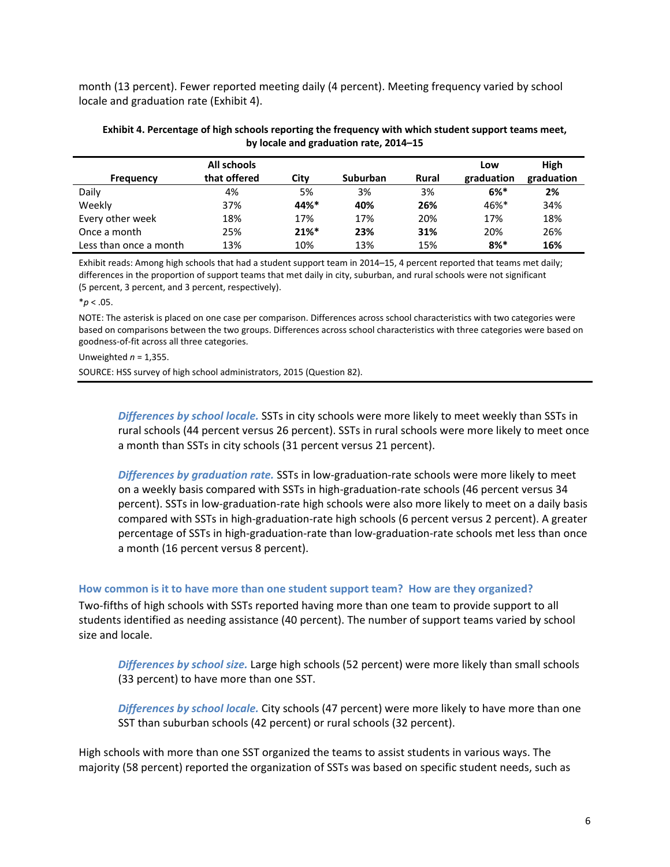month (13 percent). Fewer reported meeting daily (4 percent). Meeting frequency varied by school locale and graduation rate (Exhibit 4).

| by locale and graduation rate, 2014–15 |              |      |                 |       |            |            |
|----------------------------------------|--------------|------|-----------------|-------|------------|------------|
|                                        | All schools  |      |                 |       | Low        | High       |
| Frequency                              | that offered | Citv | <b>Suburban</b> | Rural | graduation | graduation |

Daily 4% 5% 3% 3% **6%\* 2%** Weekly 37% **44%\* 40% 26%** 46%\* 34% Every other week 18% 17% 17% 20% 17% 18% Once a month 25% **21%\* 23% 31%** 20% 26% Less than once a month 13% 10% 13% 15% **8%\* 16%**

| Exhibit 4. Percentage of high schools reporting the frequency with which student support teams meet, |
|------------------------------------------------------------------------------------------------------|
| by locale and graduation rate, 2014–15                                                               |

| Exhibit reads: Among high schools that had a student support team in 2014–15, 4 percent reported that teams met daily;  |
|-------------------------------------------------------------------------------------------------------------------------|
| differences in the proportion of support teams that met daily in city, suburban, and rural schools were not significant |
| (5 percent, 3 percent, and 3 percent, respectively).                                                                    |

 $*$ *p* < .05.

NOTE: The asterisk is placed on one case per comparison. Differences across school characteristics with two categories were based on comparisons between the two groups. Differences across school characteristics with three categories were based on goodness-of-fit across all three categories.

Unweighted *n* = 1,355.

SOURCE: HSS survey of high school administrators, 2015 (Question 82).

*Differences by school locale.* SSTs in city schools were more likely to meet weekly than SSTs in rural schools (44 percent versus 26 percent). SSTs in rural schools were more likely to meet once a month than SSTs in city schools (31 percent versus 21 percent).

*Differences by graduation rate.* SSTs in low-graduation-rate schools were more likely to meet on a weekly basis compared with SSTs in high-graduation-rate schools (46 percent versus 34 percent). SSTs in low-graduation-rate high schools were also more likely to meet on a daily basis compared with SSTs in high-graduation-rate high schools (6 percent versus 2 percent). A greater percentage of SSTs in high-graduation-rate than low-graduation-rate schools met less than once a month (16 percent versus 8 percent).

#### **How common is it to have more than one student support team? How are they organized?**

Two-fifths of high schools with SSTs reported having more than one team to provide support to all students identified as needing assistance (40 percent). The number of support teams varied by school size and locale.

*Differences by school size.* Large high schools (52 percent) were more likely than small schools (33 percent) to have more than one SST.

*Differences by school locale.* City schools (47 percent) were more likely to have more than one SST than suburban schools (42 percent) or rural schools (32 percent).

High schools with more than one SST organized the teams to assist students in various ways. The majority (58 percent) reported the organization of SSTs was based on specific student needs, such as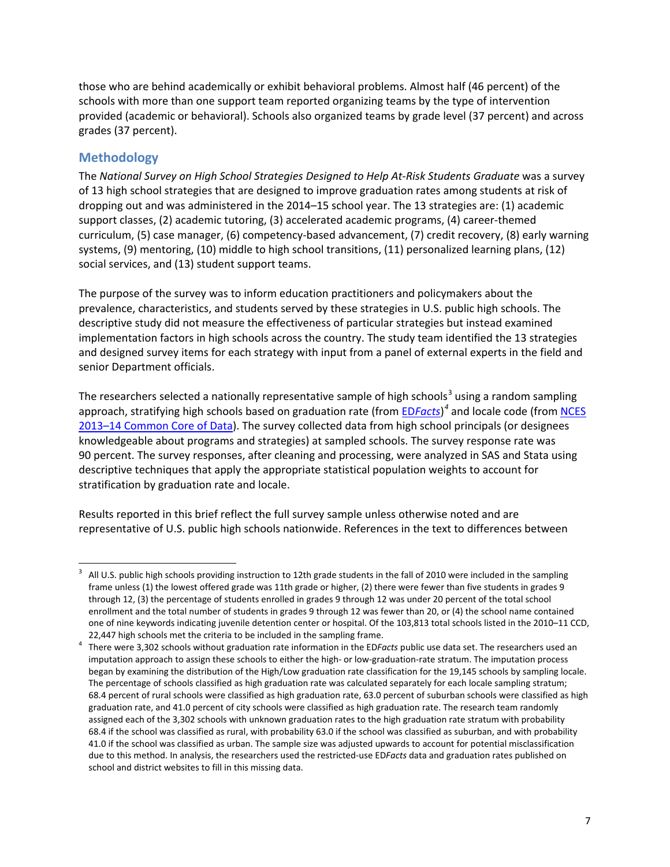those who are behind academically or exhibit behavioral problems. Almost half (46 percent) of the schools with more than one support team reported organizing teams by the type of intervention provided (academic or behavioral). Schools also organized teams by grade level (37 percent) and across grades (37 percent).

## **Methodology**

The *National Survey on High School Strategies Designed to Help At-Risk Students Graduate* was a survey of 13 high school strategies that are designed to improve graduation rates among students at risk of dropping out and was administered in the 2014–15 school year. The 13 strategies are: (1) academic support classes, (2) academic tutoring, (3) accelerated academic programs, (4) career-themed curriculum, (5) case manager, (6) competency-based advancement, (7) credit recovery, (8) early warning systems, (9) mentoring, (10) middle to high school transitions, (11) personalized learning plans, (12) social services, and (13) student support teams.

The purpose of the survey was to inform education practitioners and policymakers about the prevalence, characteristics, and students served by these strategies in U.S. public high schools. The descriptive study did not measure the effectiveness of particular strategies but instead examined implementation factors in high schools across the country. The study team identified the 13 strategies and designed survey items for each strategy with input from a panel of external experts in the field and senior Department officials.

The researchers selected a nationally representative sample of high schools<sup>[3](#page-6-0)</sup> using a random sampling approach, stratifying high schools based on graduation rate (from ED*[Facts](http://www2.ed.gov/about/inits/ed/edfacts/data-files/index.html)*) *[4](#page-6-1)* and locale code (from [NCES](https://nces.ed.gov/ccd/pubschuniv.asp)  [2013–14 Common Core of Data\)](https://nces.ed.gov/ccd/pubschuniv.asp). The survey collected data from high school principals (or designees knowledgeable about programs and strategies) at sampled schools. The survey response rate was 90 percent. The survey responses, after cleaning and processing, were analyzed in SAS and Stata using descriptive techniques that apply the appropriate statistical population weights to account for stratification by graduation rate and locale.

Results reported in this brief reflect the full survey sample unless otherwise noted and are representative of U.S. public high schools nationwide. References in the text to differences between

<span id="page-6-0"></span> $\overline{\phantom{a}}$ 3 All U.S. public high schools providing instruction to 12th grade students in the fall of 2010 were included in the sampling frame unless (1) the lowest offered grade was 11th grade or higher, (2) there were fewer than five students in grades 9 through 12, (3) the percentage of students enrolled in grades 9 through 12 was under 20 percent of the total school enrollment and the total number of students in grades 9 through 12 was fewer than 20, or (4) the school name contained one of nine keywords indicating juvenile detention center or hospital. Of the 103,813 total schools listed in the 2010–11 CCD, 22,447 high schools met the criteria to be included in the sampling frame.<br> $\frac{4}{100}$  There were 2.202 schools without graduation rate information in the EDE

<span id="page-6-1"></span>There were 3,302 schools without graduation rate information in the ED*Facts* public use data set. The researchers used an imputation approach to assign these schools to either the high- or low-graduation-rate stratum. The imputation process began by examining the distribution of the High/Low graduation rate classification for the 19,145 schools by sampling locale. The percentage of schools classified as high graduation rate was calculated separately for each locale sampling stratum; 68.4 percent of rural schools were classified as high graduation rate, 63.0 percent of suburban schools were classified as high graduation rate, and 41.0 percent of city schools were classified as high graduation rate. The research team randomly assigned each of the 3,302 schools with unknown graduation rates to the high graduation rate stratum with probability 68.4 if the school was classified as rural, with probability 63.0 if the school was classified as suburban, and with probability 41.0 if the school was classified as urban. The sample size was adjusted upwards to account for potential misclassification due to this method. In analysis, the researchers used the restricted-use ED*Facts* data and graduation rates published on school and district websites to fill in this missing data.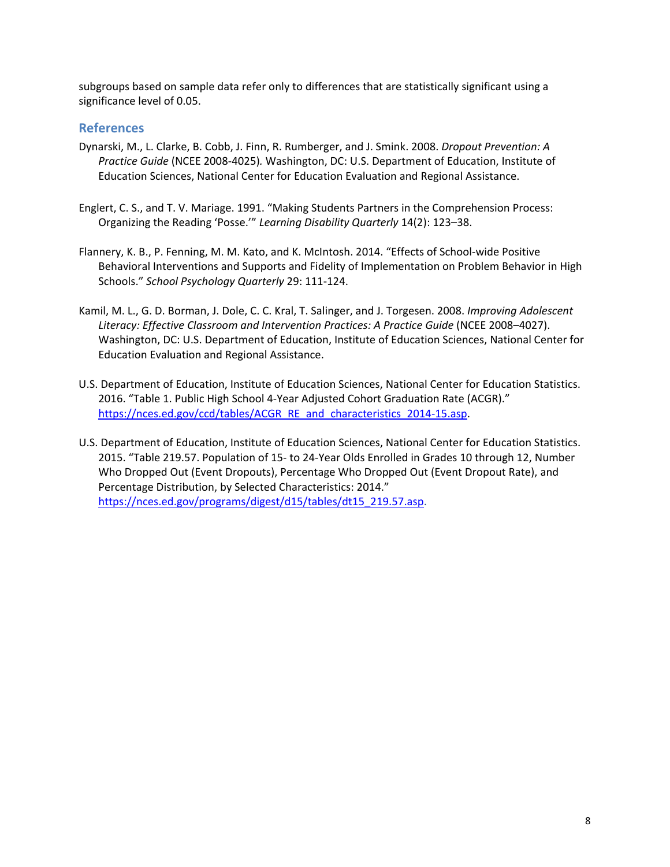subgroups based on sample data refer only to differences that are statistically significant using a significance level of 0.05.

## **References**

- Dynarski, M., L. Clarke, B. Cobb, J. Finn, R. Rumberger, and J. Smink. 2008. *Dropout Prevention: A Practice Guide* (NCEE 2008-4025)*.* Washington, DC: U.S. Department of Education, Institute of Education Sciences, National Center for Education Evaluation and Regional Assistance.
- Englert, C. S., and T. V. Mariage. 1991. "Making Students Partners in the Comprehension Process: Organizing the Reading 'Posse.'" *Learning Disability Quarterly* 14(2): 123–38.
- Flannery, K. B., P. Fenning, M. M. Kato, and K. McIntosh. 2014. "Effects of School-wide Positive Behavioral Interventions and Supports and Fidelity of Implementation on Problem Behavior in High Schools." *School Psychology Quarterly* 29: 111-124.
- Kamil, M. L., G. D. Borman, J. Dole, C. C. Kral, T. Salinger, and J. Torgesen. 2008. *Improving Adolescent*  Literacy: Effective Classroom and Intervention Practices: A Practice Guide (NCEE 2008-4027). Washington, DC: U.S. Department of Education, Institute of Education Sciences, National Center for Education Evaluation and Regional Assistance.
- U.S. Department of Education, Institute of Education Sciences, National Center for Education Statistics. 2016. "Table 1. Public High School 4-Year Adjusted Cohort Graduation Rate (ACGR)." [https://nces.ed.gov/ccd/tables/ACGR\\_RE\\_and\\_characteristics\\_2014-15.asp.](https://nces.ed.gov/ccd/tables/ACGR_RE_and_characteristics_2014-15.asp)
- U.S. Department of Education, Institute of Education Sciences, National Center for Education Statistics. 2015. "Table 219.57. Population of 15- to 24-Year Olds Enrolled in Grades 10 through 12, Number Who Dropped Out (Event Dropouts), Percentage Who Dropped Out (Event Dropout Rate), and Percentage Distribution, by Selected Characteristics: 2014." [https://nces.ed.gov/programs/digest/d15/tables/dt15\\_219.57.asp.](https://nces.ed.gov/programs/digest/d15/tables/dt15_219.57.asp)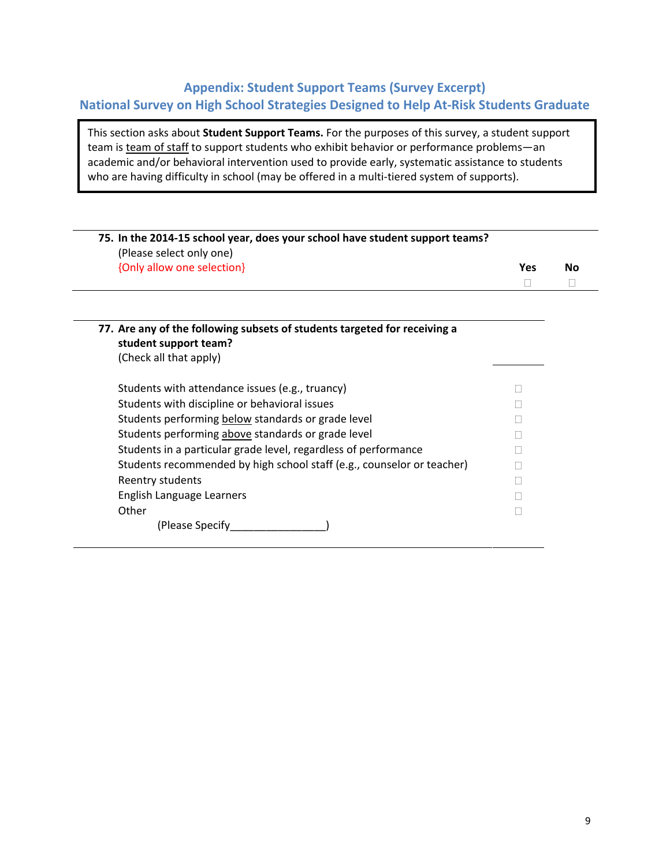## **Appendix: Student Support Teams (Survey Excerpt) National Survey on High School Strategies Designed to Help At-Risk Students Graduate**

This section asks about **Student Support Teams.** For the purposes of this survey, a student support team is team of staff to support students who exhibit behavior or performance problems-an academic and/or behavioral intervention used to provide early, systematic assistance to students who are having difficulty in school (may be offered in a multi-tiered system of supports).

| 75. In the 2014-15 school year, does your school have student support teams? |     |    |
|------------------------------------------------------------------------------|-----|----|
| (Please select only one)                                                     |     |    |
| {Only allow one selection}                                                   | Yes | Nο |
|                                                                              |     |    |

| 77. Are any of the following subsets of students targeted for receiving a<br>student support team? |  |
|----------------------------------------------------------------------------------------------------|--|
| (Check all that apply)                                                                             |  |
| Students with attendance issues (e.g., truancy)                                                    |  |
| Students with discipline or behavioral issues                                                      |  |
| Students performing below standards or grade level                                                 |  |
| Students performing above standards or grade level                                                 |  |
| Students in a particular grade level, regardless of performance                                    |  |
| Students recommended by high school staff (e.g., counselor or teacher)                             |  |
| Reentry students                                                                                   |  |
| English Language Learners                                                                          |  |
| Other                                                                                              |  |
| (Please Specify)                                                                                   |  |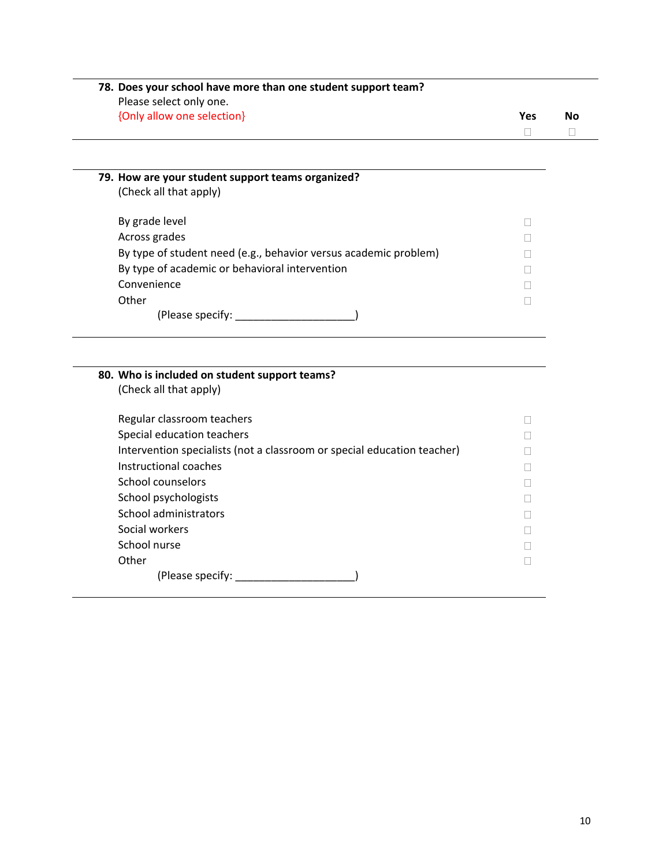| Please select only one.<br>{Only allow one selection}                   | Yes    | <b>No</b> |
|-------------------------------------------------------------------------|--------|-----------|
|                                                                         | П      | П         |
|                                                                         |        |           |
| 79. How are your student support teams organized?                       |        |           |
| (Check all that apply)                                                  |        |           |
| By grade level                                                          | П      |           |
| Across grades                                                           | $\Box$ |           |
| By type of student need (e.g., behavior versus academic problem)        |        |           |
| By type of academic or behavioral intervention                          |        |           |
| Convenience                                                             | Ш      |           |
| Other                                                                   | П      |           |
|                                                                         |        |           |
|                                                                         |        |           |
| 80. Who is included on student support teams?                           |        |           |
| (Check all that apply)                                                  |        |           |
| Regular classroom teachers                                              | П      |           |
| Special education teachers                                              | Ш      |           |
| Intervention specialists (not a classroom or special education teacher) |        |           |
| Instructional coaches                                                   |        |           |
| School counselors                                                       | П      |           |
| School psychologists                                                    |        |           |
| School administrators                                                   | П      |           |
| Social workers                                                          |        |           |
| School nurse                                                            | Ш      |           |
| Other                                                                   | П      |           |